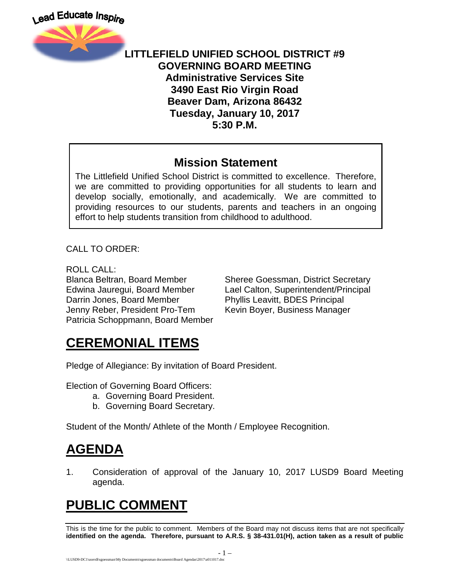

#### **LITTLEFIELD UNIFIED SCHOOL DISTRICT #9 GOVERNING BOARD MEETING Administrative Services Site 3490 East Rio Virgin Road Beaver Dam, Arizona 86432 Tuesday, January 10, 2017 5:30 P.M.**

#### **Mission Statement**

The Littlefield Unified School District is committed to excellence. Therefore, we are committed to providing opportunities for all students to learn and develop socially, emotionally, and academically. We are committed to providing resources to our students, parents and teachers in an ongoing effort to help students transition from childhood to adulthood.

CALL TO ORDER:

ROLL CALL: Darrin Jones, Board Member Phyllis Leavitt, BDES Principal Jenny Reber, President Pro-Tem Kevin Boyer, Business Manager Patricia Schoppmann, Board Member

Blanca Beltran, Board Member Sheree Goessman, District Secretary Edwina Jauregui, Board Member Lael Calton, Superintendent/Principal

# **CEREMONIAL ITEMS**

Pledge of Allegiance: By invitation of Board President.

Election of Governing Board Officers:

- a. Governing Board President.
- b. Governing Board Secretary.

Student of the Month/ Athlete of the Month / Employee Recognition.

# **AGENDA**

1. Consideration of approval of the January 10, 2017 LUSD9 Board Meeting agenda.

# **PUBLIC COMMENT**

This is the time for the public to comment. Members of the Board may not discuss items that are not specifically **identified on the agenda. Therefore, pursuant to A.R.S. § 38-431.01(H), action taken as a result of public**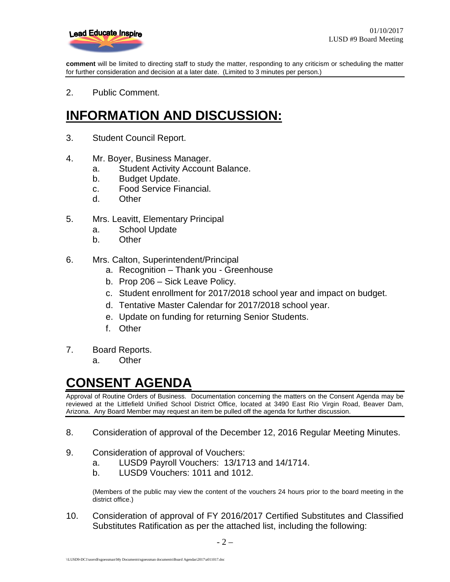

**comment** will be limited to directing staff to study the matter, responding to any criticism or scheduling the matter for further consideration and decision at a later date. (Limited to 3 minutes per person.)

2. Public Comment.

## **INFORMATION AND DISCUSSION:**

- 3. Student Council Report.
- 4. Mr. Boyer, Business Manager.
	- a. Student Activity Account Balance.
	- b. Budget Update.
	- c. Food Service Financial.
	- d. Other
- 5. Mrs. Leavitt, Elementary Principal
	- a. School Update
	- b. Other
- 6. Mrs. Calton, Superintendent/Principal
	- a. Recognition Thank you Greenhouse
	- b. Prop 206 Sick Leave Policy.
	- c. Student enrollment for 2017/2018 school year and impact on budget.
	- d. Tentative Master Calendar for 2017/2018 school year.
	- e. Update on funding for returning Senior Students.
	- f. Other
- 7. Board Reports.
	- a. Other

#### **CONSENT AGENDA**

Approval of Routine Orders of Business. Documentation concerning the matters on the Consent Agenda may be reviewed at the Littlefield Unified School District Office, located at 3490 East Rio Virgin Road, Beaver Dam, Arizona. Any Board Member may request an item be pulled off the agenda for further discussion.

- 8. Consideration of approval of the December 12, 2016 Regular Meeting Minutes.
- 9. Consideration of approval of Vouchers:
	- a. LUSD9 Payroll Vouchers: 13/1713 and 14/1714.
	- b. LUSD9 Vouchers: 1011 and 1012.

(Members of the public may view the content of the vouchers 24 hours prior to the board meeting in the district office.)

10. Consideration of approval of FY 2016/2017 Certified Substitutes and Classified Substitutes Ratification as per the attached list, including the following: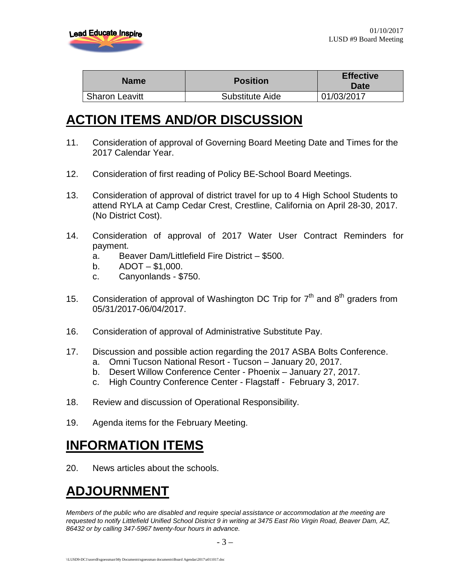

| <b>Name</b>           | <b>Position</b> | <b>Effective</b><br><b>Date</b> |
|-----------------------|-----------------|---------------------------------|
| <b>Sharon Leavitt</b> | Substitute Aide | 01/03/2017                      |

### **ACTION ITEMS AND/OR DISCUSSION**

- 11. Consideration of approval of Governing Board Meeting Date and Times for the 2017 Calendar Year.
- 12. Consideration of first reading of Policy BE-School Board Meetings.
- 13. Consideration of approval of district travel for up to 4 High School Students to attend RYLA at Camp Cedar Crest, Crestline, California on April 28-30, 2017. (No District Cost).
- 14. Consideration of approval of 2017 Water User Contract Reminders for payment.
	- a. Beaver Dam/Littlefield Fire District \$500.
	- $b.$  ADOT \$1,000.
	- c. Canyonlands \$750.
- 15. Consideration of approval of Washington DC Trip for  $7<sup>th</sup>$  and  $8<sup>th</sup>$  graders from 05/31/2017-06/04/2017.
- 16. Consideration of approval of Administrative Substitute Pay.
- 17. Discussion and possible action regarding the 2017 ASBA Bolts Conference.
	- a. Omni Tucson National Resort Tucson January 20, 2017.
	- b. Desert Willow Conference Center Phoenix January 27, 2017.
	- c. High Country Conference Center Flagstaff February 3, 2017.
- 18. Review and discussion of Operational Responsibility.
- 19. Agenda items for the February Meeting.

#### **INFORMATION ITEMS**

20. News articles about the schools.

## **ADJOURNMENT**

*Members of the public who are disabled and require special assistance or accommodation at the meeting are requested to notify Littlefield Unified School District 9 in writing at 3475 East Rio Virgin Road, Beaver Dam, AZ, 86432 or by calling 347-5967 twenty-four hours in advance.*